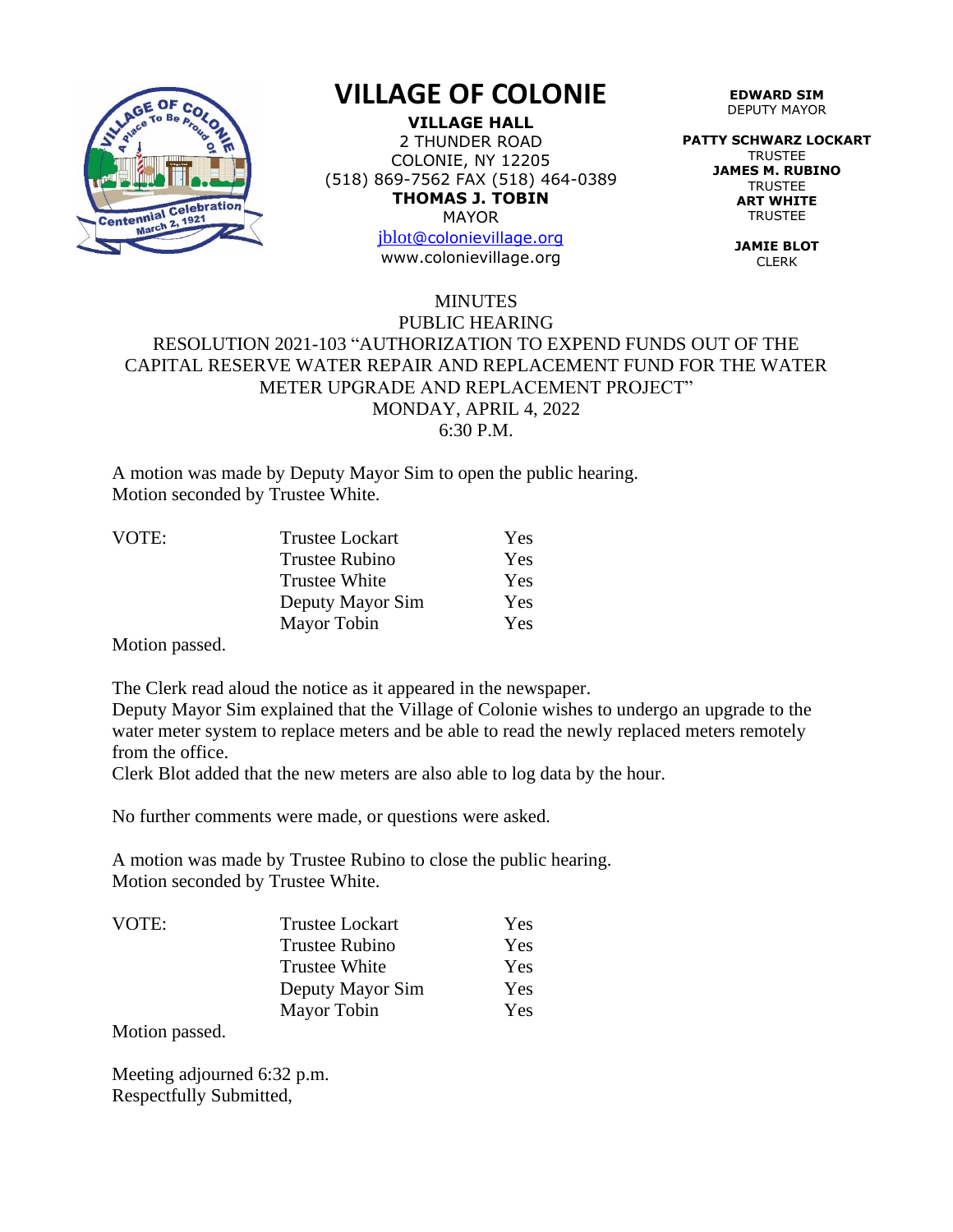

## **VILLAGE OF COLONIE**

**VILLAGE HALL** 2 THUNDER ROAD COLONIE, NY 12205 (518) 869-7562 FAX (518) 464-0389 **THOMAS J. TOBIN** MAYOR

> [jblot](mailto:jblot@colonievillage.org)[@colonievillage.org](mailto:jblot@colonievillage.org) www.colonievillage.org

**EDWARD SIM** DEPUTY MAYOR

**PATTY SCHWARZ LOCKART** TRUSTEE **JAMES M. RUBINO TRUSTEE ART WHITE TRUSTEE** 

> **JAMIE BLOT** CLERK

## MINUTES PUBLIC HEARING RESOLUTION 2021-103 "AUTHORIZATION TO EXPEND FUNDS OUT OF THE CAPITAL RESERVE WATER REPAIR AND REPLACEMENT FUND FOR THE WATER METER UPGRADE AND REPLACEMENT PROJECT" MONDAY, APRIL 4, 2022 6:30 P.M.

A motion was made by Deputy Mayor Sim to open the public hearing. Motion seconded by Trustee White.

| VOTE: | <b>Trustee Lockart</b> | Yes |
|-------|------------------------|-----|
|       | <b>Trustee Rubino</b>  | Yes |
|       | <b>Trustee White</b>   | Yes |
|       | Deputy Mayor Sim       | Yes |
|       | Mayor Tobin            | Yes |

Motion passed.

The Clerk read aloud the notice as it appeared in the newspaper.

Deputy Mayor Sim explained that the Village of Colonie wishes to undergo an upgrade to the water meter system to replace meters and be able to read the newly replaced meters remotely from the office.

Clerk Blot added that the new meters are also able to log data by the hour.

No further comments were made, or questions were asked.

A motion was made by Trustee Rubino to close the public hearing. Motion seconded by Trustee White.

| VOTE: | <b>Trustee Lockart</b> | Yes |
|-------|------------------------|-----|
|       | Trustee Rubino         | Yes |
|       | <b>Trustee White</b>   | Yes |
|       | Deputy Mayor Sim       | Yes |
|       | Mayor Tobin            | Yes |

Motion passed.

Meeting adjourned 6:32 p.m. Respectfully Submitted,